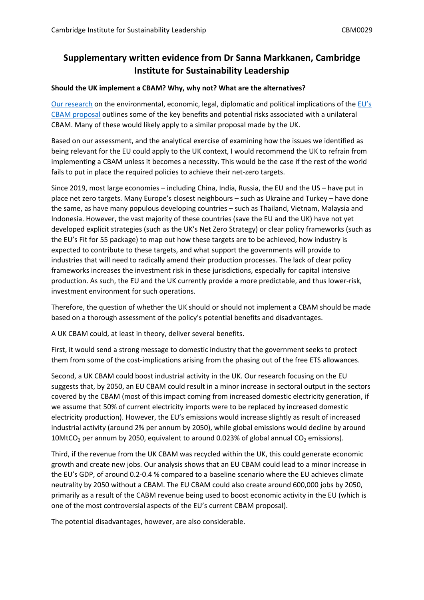## **Supplementary written evidence from Dr Sanna Markkanen, Cambridge Institute for Sustainability Leadership**

## **Should the UK implement a CBAM? Why, why not? What are the alternatives?**

[Our](https://www.cisl.cam.ac.uk/resources/publications/eu-cbam-and-its-place-world-trade) [research](https://www.cisl.cam.ac.uk/resources/publications/eu-cbam-and-its-place-world-trade) on the environmental, economic, legal, diplomatic and political implications of the [EU's](https://ec.europa.eu/commission/presscorner/detail/en/qanda_21_3661) [CBAM](https://ec.europa.eu/commission/presscorner/detail/en/qanda_21_3661) [proposal](https://ec.europa.eu/commission/presscorner/detail/en/qanda_21_3661) outlines some of the key benefits and potential risks associated with a unilateral CBAM. Many of these would likely apply to a similar proposal made by the UK.

Based on our assessment, and the analytical exercise of examining how the issues we identified as being relevant for the EU could apply to the UK context, I would recommend the UK to refrain from implementing a CBAM unless it becomes a necessity. This would be the case if the rest of the world fails to put in place the required policies to achieve their net-zero targets.

Since 2019, most large economies – including China, India, Russia, the EU and the US – have put in place net zero targets. Many Europe's closest neighbours – such as Ukraine and Turkey – have done the same, as have many populous developing countries – such as Thailand, Vietnam, Malaysia and Indonesia. However, the vast majority of these countries (save the EU and the UK) have not yet developed explicit strategies (such as the UK's Net Zero Strategy) or clear policy frameworks (such as the EU's Fit for 55 package) to map out how these targets are to be achieved, how industry is expected to contribute to these targets, and what support the governments will provide to industries that will need to radically amend their production processes. The lack of clear policy frameworks increases the investment risk in these jurisdictions, especially for capital intensive production. As such, the EU and the UK currently provide a more predictable, and thus lower-risk, investment environment for such operations.

Therefore, the question of whether the UK should or should not implement a CBAM should be made based on a thorough assessment of the policy's potential benefits and disadvantages.

A UK CBAM could, at least in theory, deliver several benefits.

First, it would send a strong message to domestic industry that the government seeks to protect them from some of the cost-implications arising from the phasing out of the free ETS allowances.

Second, a UK CBAM could boost industrial activity in the UK. Our research focusing on the EU suggests that, by 2050, an EU CBAM could result in a minor increase in sectoral output in the sectors covered by the CBAM (most of this impact coming from increased domestic electricity generation, if we assume that 50% of current electricity imports were to be replaced by increased domestic electricity production). However, the EU's emissions would increase slightly as result of increased industrial activity (around 2% per annum by 2050), while global emissions would decline by around 10MtCO<sub>2</sub> per annum by 2050, equivalent to around 0.023% of global annual CO<sub>2</sub> emissions).

Third, if the revenue from the UK CBAM was recycled within the UK, this could generate economic growth and create new jobs. Our analysis shows that an EU CBAM could lead to a minor increase in the EU's GDP, of around 0.2-0.4 % compared to a baseline scenario where the EU achieves climate neutrality by 2050 without a CBAM. The EU CBAM could also create around 600,000 jobs by 2050, primarily as a result of the CABM revenue being used to boost economic activity in the EU (which is one of the most controversial aspects of the EU's current CBAM proposal).

The potential disadvantages, however, are also considerable.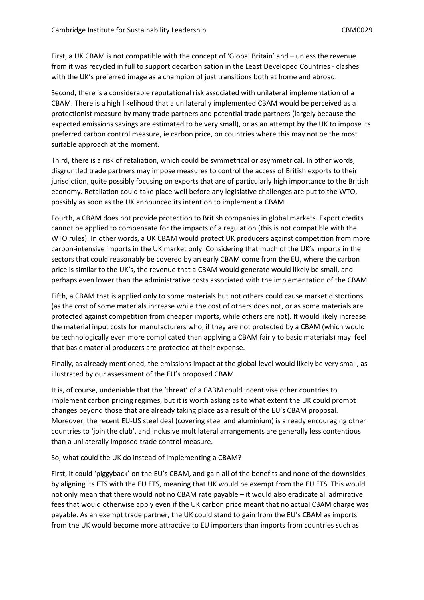First, a UK CBAM is not compatible with the concept of 'Global Britain' and – unless the revenue from it was recycled in full to support decarbonisation in the Least Developed Countries - clashes with the UK's preferred image as a champion of just transitions both at home and abroad.

Second, there is a considerable reputational risk associated with unilateral implementation of a CBAM. There is a high likelihood that a unilaterally implemented CBAM would be perceived as a protectionist measure by many trade partners and potential trade partners (largely because the expected emissions savings are estimated to be very small), or as an attempt by the UK to impose its preferred carbon control measure, ie carbon price, on countries where this may not be the most suitable approach at the moment.

Third, there is a risk of retaliation, which could be symmetrical or asymmetrical. In other words, disgruntled trade partners may impose measures to control the access of British exports to their jurisdiction, quite possibly focusing on exports that are of particularly high importance to the British economy. Retaliation could take place well before any legislative challenges are put to the WTO, possibly as soon as the UK announced its intention to implement a CBAM.

Fourth, a CBAM does not provide protection to British companies in global markets. Export credits cannot be applied to compensate for the impacts of a regulation (this is not compatible with the WTO rules). In other words, a UK CBAM would protect UK producers against competition from more carbon-intensive imports in the UK market only. Considering that much of the UK's imports in the sectors that could reasonably be covered by an early CBAM come from the EU, where the carbon price is similar to the UK's, the revenue that a CBAM would generate would likely be small, and perhaps even lower than the administrative costs associated with the implementation of the CBAM.

Fifth, a CBAM that is applied only to some materials but not others could cause market distortions (as the cost of some materials increase while the cost of others does not, or as some materials are protected against competition from cheaper imports, while others are not). It would likely increase the material input costs for manufacturers who, if they are not protected by a CBAM (which would be technologically even more complicated than applying a CBAM fairly to basic materials) may feel that basic material producers are protected at their expense.

Finally, as already mentioned, the emissions impact at the global level would likely be very small, as illustrated by our assessment of the EU's proposed CBAM.

It is, of course, undeniable that the 'threat' of a CABM could incentivise other countries to implement carbon pricing regimes, but it is worth asking as to what extent the UK could prompt changes beyond those that are already taking place as a result of the EU's CBAM proposal. Moreover, the recent EU-US steel deal (covering steel and aluminium) is already encouraging other countries to 'join the club', and inclusive multilateral arrangements are generally less contentious than a unilaterally imposed trade control measure.

## So, what could the UK do instead of implementing a CBAM?

First, it could 'piggyback' on the EU's CBAM, and gain all of the benefits and none of the downsides by aligning its ETS with the EU ETS, meaning that UK would be exempt from the EU ETS. This would not only mean that there would not no CBAM rate payable – it would also eradicate all admirative fees that would otherwise apply even if the UK carbon price meant that no actual CBAM charge was payable. As an exempt trade partner, the UK could stand to gain from the EU's CBAM as imports from the UK would become more attractive to EU importers than imports from countries such as